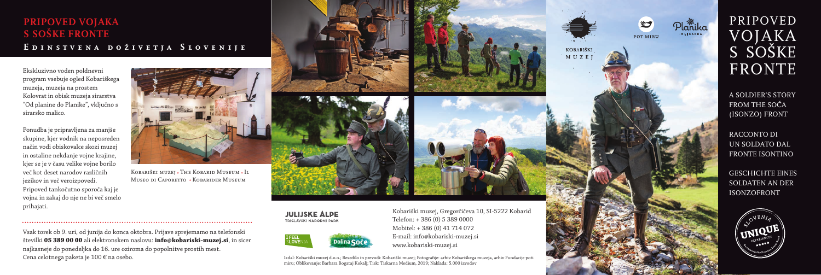Kobariški muzej, Gregorčičeva 10, SI-5222 Kobarid Telefon: + 386 (0) 5 389 0000 Mobitel: + 386 (0) 41 714 072 E-mail: info@kobariski-muzej.si www.kobariski-muzej.si

Izdal: Kobariški muzej d.o.o.; Besedilo in prevodi: Kobariški muzej; Fotografije: arhiv Kobariškega muzeja, arhiv Fundacije poti miru; Oblikovanje: Barbara Bogataj Kokalj; Tisk: Tiskarna Medium, 2019; Naklada: 5.000 izvodov

# PRIPOVED VOJAKA S SOŠKE FRONTE

A SOLDIER'S STORY FROM THE SOČA (ISONZO) FRONT

#### **PRIPOVED VOJAKA S SOŠKE FRONTE Edinstvena doživetja Slovenije**

RACCONTO DI UN SOLDATO DAL FRONTE ISONTINO

GESCHICHTE EINES SOLDATEN AN DER ISONZOFRONT



Ekskluzivno voden poldnevni program vsebuje ogled Kobariškega muzeja, muzeja na prostem Kolovrat in obisk muzeja sirarstva "Od planine do Planike", vključno s sirarsko malico.

Ponudba je pripravljena za manjše skupine, kjer vodnik na neposreden način vodi obiskovalce skozi muzej in ostaline nekdanje vojne krajine, kjer se je v času velike vojne borilo več kot deset narodov različnih jezikov in več veroizpovedi. Pripoved tankočutno sporoča kaj je vojna in zakaj do nje ne bi več smelo prihajati.



Kobariški muzej • The Kobarid Museum • Il Museo di Caporetto • Kobarider Museum







#### Vsak torek ob 9. uri, od junija do konca oktobra. Prijave sprejemamo na telefonski številki **05 389 00 00** ali elektronskem naslovu: **info@kobariski-muzej.si**, in sicer najkasneje do ponedeljka do 16. ure oziroma do popolnitve prostih mest. Cena celotnega paketa je 100 € na osebo.